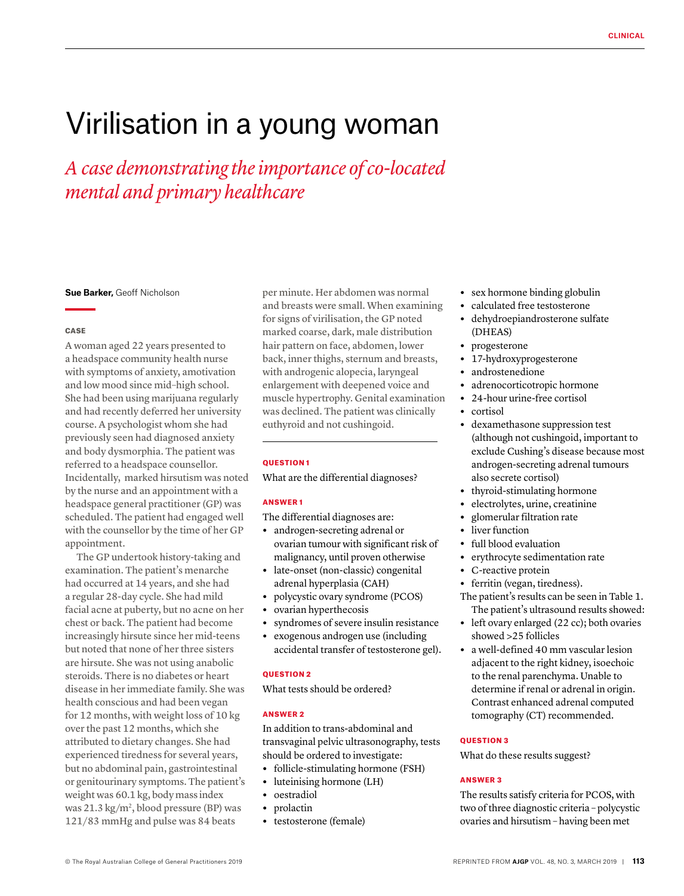# Virilisation in a young woman

*A case demonstrating the importance of co-located mental and primary healthcare*

# **Sue Barker,** Geoff Nicholson

## **CASE**

A woman aged 22 years presented to a headspace community health nurse with symptoms of anxiety, amotivation and low mood since mid–high school. She had been using marijuana regularly and had recently deferred her university course. A psychologist whom she had previously seen had diagnosed anxiety and body dysmorphia. The patient was referred to a headspace counsellor. Incidentally, marked hirsutism was noted by the nurse and an appointment with a headspace general practitioner (GP) was scheduled. The patient had engaged well with the counsellor by the time of her GP appointment.

The GP undertook history-taking and examination. The patient's menarche had occurred at 14 years, and she had a regular 28-day cycle. She had mild facial acne at puberty, but no acne on her chest or back. The patient had become increasingly hirsute since her mid-teens but noted that none of her three sisters are hirsute. She was not using anabolic steroids. There is no diabetes or heart disease in her immediate family. She was health conscious and had been vegan for 12 months, with weight loss of 10 kg over the past 12 months, which she attributed to dietary changes. She had experienced tiredness for several years, but no abdominal pain, gastrointestinal or genitourinary symptoms. The patient's weight was 60.1 kg, body mass index was 21.3 kg/m<sup>2</sup>, blood pressure (BP) was 121/83 mmHg and pulse was 84 beats

per minute. Her abdomen was normal and breasts were small. When examining for signs of virilisation, the GP noted marked coarse, dark, male distribution hair pattern on face, abdomen, lower back, inner thighs, sternum and breasts, with androgenic alopecia, laryngeal enlargement with deepened voice and muscle hypertrophy. Genital examination was declined. The patient was clinically euthyroid and not cushingoid.

#### QUESTION 1

What are the differential diagnoses?

# ANSWER 1

The differential diagnoses are:

- **•** androgen-secreting adrenal or ovarian tumour with significant risk of malignancy, until proven otherwise
- **•** late-onset (non-classic) congenital adrenal hyperplasia (CAH)
- **•** polycystic ovary syndrome (PCOS)
- **•** ovarian hyperthecosis
- **•** syndromes of severe insulin resistance
- **•** exogenous androgen use (including accidental transfer of testosterone gel).

## **OUESTION 2**

What tests should be ordered?

## ANSWER 2

In addition to trans-abdominal and transvaginal pelvic ultrasonography, tests should be ordered to investigate:

- **•** follicle-stimulating hormone (FSH)
- **•** luteinising hormone (LH)
- **•** oestradiol
- **•** prolactin
- **•** testosterone (female)
- **•** sex hormone binding globulin
- **•** calculated free testosterone
- **•** dehydroepiandrosterone sulfate (DHEAS)
- **•** progesterone
- **•** 17-hydroxyprogesterone
- **•** androstenedione
- adrenocorticotropic hormone<br>• 24-hour urine-free cortisol
- **•** 24-hour urine-free cortisol
- **•** cortisol
- **•** dexamethasone suppression test (although not cushingoid, important to exclude Cushing's disease because most androgen-secreting adrenal tumours also secrete cortisol)
- **•** thyroid-stimulating hormone
- **•** electrolytes, urine, creatinine
- **•** glomerular filtration rate
- **•** liver function
- **•** full blood evaluation
- **•** erythrocyte sedimentation rate
- **•** C-reactive protein
- **•** ferritin (vegan, tiredness).

The patient's results can be seen in Table 1. The patient's ultrasound results showed:

- **•** left ovary enlarged (22 cc); both ovaries showed >25 follicles
- **•** a well-defined 40 mm vascular lesion adjacent to the right kidney, isoechoic to the renal parenchyma. Unable to determine if renal or adrenal in origin. Contrast enhanced adrenal computed tomography (CT) recommended.

# QUESTION 3

What do these results suggest?

#### ANSWER 3

The results satisfy criteria for PCOS, with two of three diagnostic criteria – polycystic ovaries and hirsutism – having been met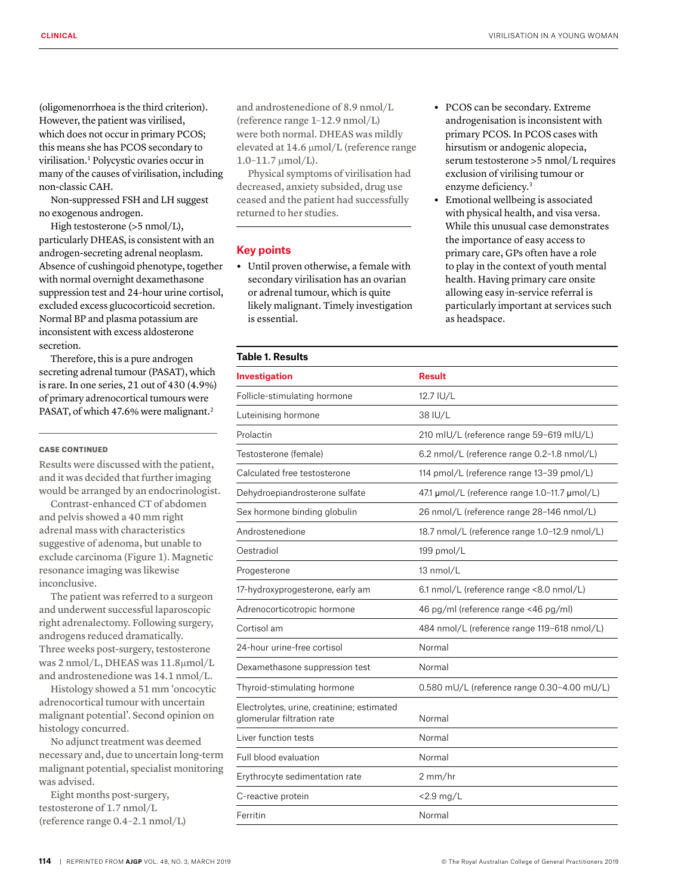(oligomenorrhoea is the third criterion). However, the patient was virilised, which does not occur in primary PCOS; this means she has PCOS secondary to virilisation.1 Polycystic ovaries occur in many of the causes of virilisation, including non-classic CAH.

Non-suppressed FSH and LH suggest no exogenous androgen.

High testosterone (>5 nmol/L), particularly DHEAS, is consistent with an androgen-secreting adrenal neoplasm. Absence of cushingoid phenotype, together with normal overnight dexamethasone suppression test and 24-hour urine cortisol, excluded excess glucocorticoid secretion. Normal BP and plasma potassium are inconsistent with excess aldosterone secretion.

Therefore, this is a pure androgen secreting adrenal tumour (PASAT), which is rare. In one series, 21 out of 430 (4.9%) of primary adrenocortical tumours were PASAT, of which 47.6% were malignant.<sup>2</sup>

## CASE CONTINUED

Results were discussed with the patient, and it was decided that further imaging would be arranged by an endocrinologist.

Contrast-enhanced CT of abdomen and pelvis showed a 40 mm right adrenal mass with characteristics suggestive of adenoma, but unable to exclude carcinoma (Figure 1). Magnetic resonance imaging was likewise inconclusive.

The patient was referred to a surgeon and underwent successful laparoscopic right adrenalectomy. Following surgery, androgens reduced dramatically. Three weeks post-surgery, testosterone was 2 nmol/L, DHEAS was 11.8µmol/L and androstenedione was 14.1 nmol/L.

Histology showed a 51 mm 'oncocytic adrenocortical tumour with uncertain malignant potential'. Second opinion on histology concurred.

No adjunct treatment was deemed necessary and, due to uncertain long-term malignant potential, specialist monitoring was advised.

Eight months post-surgery, testosterone of 1.7 nmol/L (reference range 0.4–2.1 nmol/L)

and androstenedione of 8.9 nmol/L (reference range 1–12.9 nmol/L) were both normal. DHEAS was mildly elevated at 14.6 µmol/L (reference range 1.0–11.7 µmol/L).

Physical symptoms of virilisation had decreased, anxiety subsided, drug use ceased and the patient had successfully returned to her studies.

## **Key points**

- **•** Until proven otherwise, a female with secondary virilisation has an ovarian or adrenal tumour, which is quite likely malignant. Timely investigation is essential.
- **•** PCOS can be secondary. Extreme androgenisation is inconsistent with primary PCOS. In PCOS cases with hirsutism or andogenic alopecia, serum testosterone >5 nmol/L requires exclusion of virilising tumour or enzyme deficiency.3
- **•** Emotional wellbeing is associated with physical health, and visa versa. While this unusual case demonstrates the importance of easy access to primary care, GPs often have a role to play in the context of youth mental health. Having primary care onsite allowing easy in-service referral is particularly important at services such as headspace.

| <b>Table 1. Results</b>                                                  |                                               |
|--------------------------------------------------------------------------|-----------------------------------------------|
| <b>Investigation</b>                                                     | Result                                        |
| Follicle-stimulating hormone                                             | 12.7 IU/L                                     |
| Luteinising hormone                                                      | 38 IU/L                                       |
| Prolactin                                                                | 210 mIU/L (reference range 59-619 mIU/L)      |
| Testosterone (female)                                                    | 6.2 nmol/L (reference range 0.2-1.8 nmol/L)   |
| Calculated free testosterone                                             | 114 pmol/L (reference range 13-39 pmol/L)     |
| Dehydroepiandrosterone sulfate                                           | 47.1 µmol/L (reference range 1.0-11.7 µmol/L) |
| Sex hormone binding globulin                                             | 26 nmol/L (reference range 28-146 nmol/L)     |
| Androstenedione                                                          | 18.7 nmol/L (reference range 1.0-12.9 nmol/L) |
| Oestradiol                                                               | 199 pmol/L                                    |
| Progesterone                                                             | 13 nmol/L                                     |
| 17-hydroxyprogesterone, early am                                         | 6.1 nmol/L (reference range <8.0 nmol/L)      |
| Adrenocorticotropic hormone                                              | 46 pg/ml (reference range <46 pg/ml)          |
| Cortisol am                                                              | 484 nmol/L (reference range 119-618 nmol/L)   |
| 24-hour urine-free cortisol                                              | Normal                                        |
| Dexamethasone suppression test                                           | Normal                                        |
| Thyroid-stimulating hormone                                              | 0.580 mU/L (reference range 0.30-4.00 mU/L)   |
| Electrolytes, urine, creatinine; estimated<br>glomerular filtration rate | Normal                                        |
| Liver function tests                                                     | Normal                                        |
| Full blood evaluation                                                    | Normal                                        |
| Erythrocyte sedimentation rate                                           | 2 mm/hr                                       |
| C-reactive protein                                                       | $<$ 2.9 mg/L                                  |
| Ferritin                                                                 | Normal                                        |
|                                                                          |                                               |